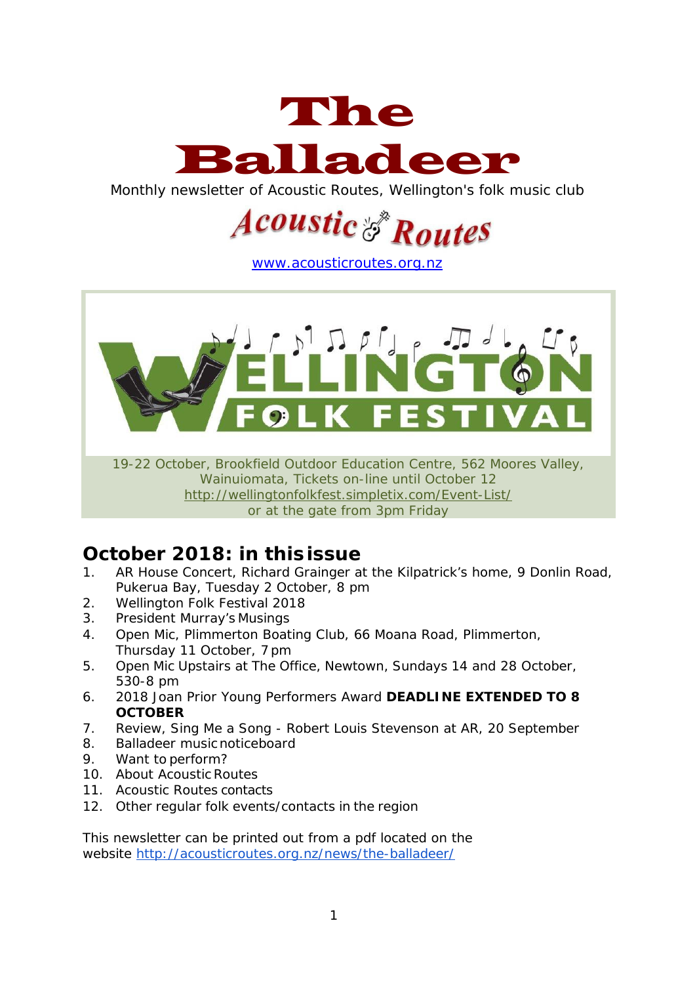

Monthly newsletter of Acoustic Routes, Wellington's folk music club

# **Legustic & Routes**

[www.acousticroutes.org.nz](http://www.acousticroutes.org.nz/)



19-22 October, Brookfield Outdoor Education Centre, 562 Moores Valley, Wainuiomata, Tickets on-line until October 12 <http://wellingtonfolkfest.simpletix.com/Event-List/> or at the gate from 3pm Friday

# **October 2018: in thisissue**

- 1. AR House Concert, Richard Grainger at the Kilpatrick's home, 9 Donlin Road, Pukerua Bay, Tuesday 2 October, 8 pm
- 2. Wellington Folk Festival 2018
- 3. President Murray's Musings
- 4. Open Mic, Plimmerton Boating Club, 66 Moana Road, Plimmerton, Thursday 11 October, 7pm
- 5. Open Mic Upstairs at The Office, Newtown, Sundays 14 and 28 October, 530-8 pm
- 6. 2018 Joan Prior Young Performers Award **DEADLINE EXTENDED TO 8 OCTOBER**
- 7. Review, Sing Me a Song Robert Louis Stevenson at AR, 20 September
- 8. Balladeer musicnoticeboard
- 9. Want to perform?
- 10. About Acoustic Routes
- 11. Acoustic Routes contacts
- 12. Other regular folk events/contacts in the region

This newsletter can be printed out from a pdf located on the website<http://acousticroutes.org.nz/news/the-balladeer/>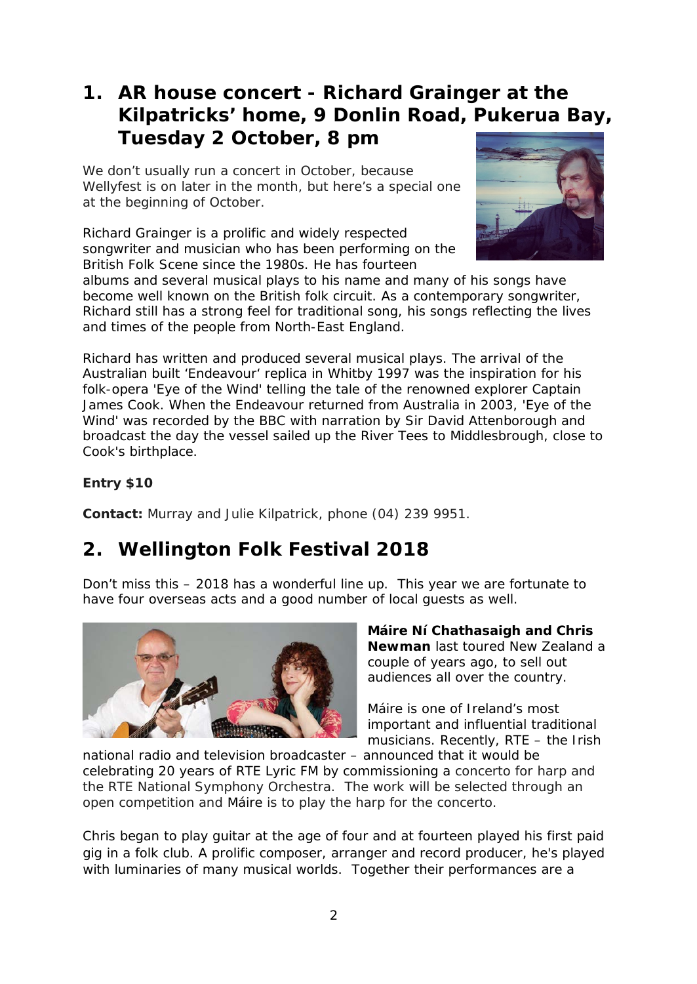### **1. AR house concert - Richard Grainger at the Kilpatricks' home, 9 Donlin Road, Pukerua Bay, Tuesday 2 October, 8 pm**

We don't usually run a concert in October, because Wellyfest is on later in the month, but here's a special one at the beginning of October.

Richard Grainger is a prolific and widely respected songwriter and musician who has been performing on the British Folk Scene since the 1980s. He has fourteen



albums and several musical plays to his name and many of his songs have become well known on the British folk circuit. As a contemporary songwriter, Richard still has a strong feel for traditional song, his songs reflecting the lives and times of the people from North-East England.

Richard has written and produced several musical plays. The arrival of the Australian built 'Endeavour' replica in Whitby 1997 was the inspiration for his folk-opera 'Eye of the Wind' telling the tale of the renowned explorer Captain James Cook. When the Endeavour returned from Australia in 2003, 'Eye of the Wind' was recorded by the BBC with narration by Sir David Attenborough and broadcast the day the vessel sailed up the River Tees to Middlesbrough, close to Cook's birthplace.

#### **Entry \$10**

**Contact:** Murray and Julie Kilpatrick, phone (04) 239 9951.

# **2. Wellington Folk Festival 2018**

Don't miss this – 2018 has a wonderful line up. This year we are fortunate to have four overseas acts and a good number of local guests as well.



**Máire Ní Chathasaigh and Chris Newman** last toured New Zealand a couple of years ago, to sell out audiences all over the country.

Máire is one of Ireland's most important and influential traditional musicians. Recently, RTE – the Irish

national radio and television broadcaster – announced that it would be celebrating 20 years of RTE Lyric FM by commissioning a concerto for harp and the RTE National Symphony Orchestra. The work will be selected through an open competition and Máire is to play the harp for the concerto.

Chris began to play guitar at the age of four and at fourteen played his first paid gig in a folk club. A prolific composer, arranger and record producer, he's played with luminaries of many musical worlds. Together their performances are a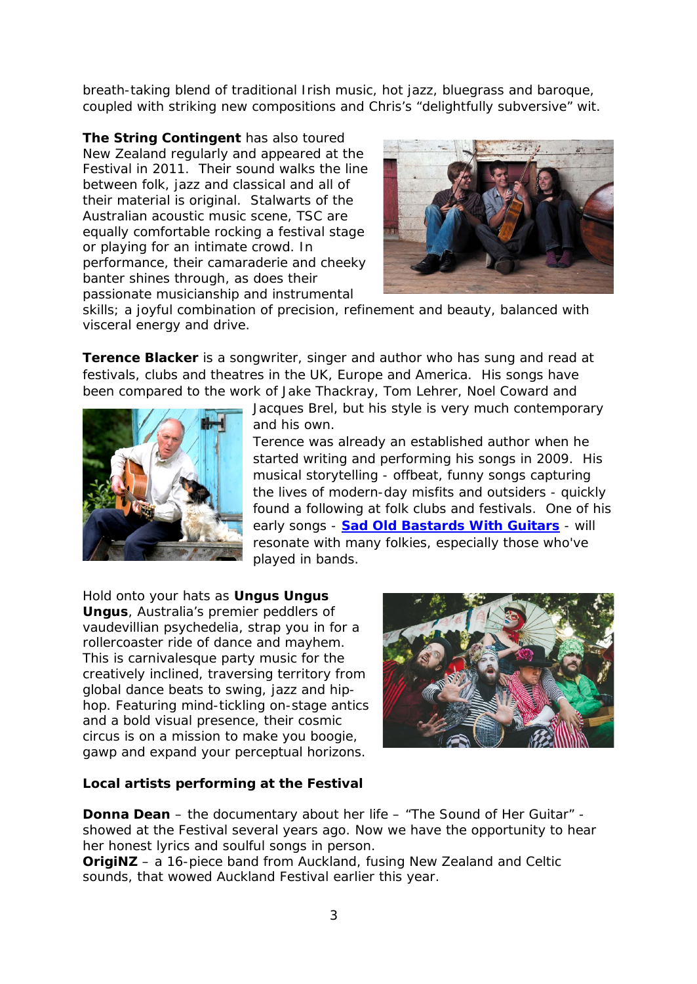breath-taking blend of traditional Irish music, hot jazz, bluegrass and baroque, coupled with striking new compositions and Chris's "delightfully subversive" wit.

**The String Contingent** has also toured New Zealand regularly and appeared at the Festival in 2011. Their sound walks the line between folk, jazz and classical and all of their material is original. Stalwarts of the Australian acoustic music scene, TSC are equally comfortable rocking a festival stage or playing for an intimate crowd. In performance, their camaraderie and cheeky banter shines through, as does their passionate musicianship and instrumental



skills; a joyful combination of precision, refinement and beauty, balanced with visceral energy and drive.

**Terence Blacker** is a songwriter, singer and author who has sung and read at festivals, clubs and theatres in the UK, Europe and America. His songs have been compared to the work of Jake Thackray, Tom Lehrer, Noel Coward and



Jacques Brel, but his style is very much contemporary and his own.

Terence was already an established author when he started writing and performing his songs in 2009. His musical storytelling - offbeat, funny songs capturing the lives of modern-day misfits and outsiders - quickly found a following at folk clubs and festivals. One of his early songs - **[Sad Old Bastards With Guitars](https://www.youtube.com/watch?v=pGIvND2TnFE&list=RDpGIvND2TnFE&t=19)** - will resonate with many folkies, especially those who've played in bands.

Hold onto your hats as **Ungus Ungus Ungus**, Australia's premier peddlers of vaudevillian psychedelia, strap you in for a rollercoaster ride of dance and mayhem. This is carnivalesque party music for the creatively inclined, traversing territory from global dance beats to swing, jazz and hiphop. Featuring mind-tickling on-stage antics and a bold visual presence, their cosmic circus is on a mission to make you boogie, gawp and expand your perceptual horizons.



#### **Local artists performing at the Festival**

**Donna Dean** – the documentary about her life – "The Sound of Her Guitar" showed at the Festival several years ago. Now we have the opportunity to hear her honest lyrics and soulful songs in person.

**OrigiNZ** – a 16-piece band from Auckland, fusing New Zealand and Celtic sounds, that wowed Auckland Festival earlier this year.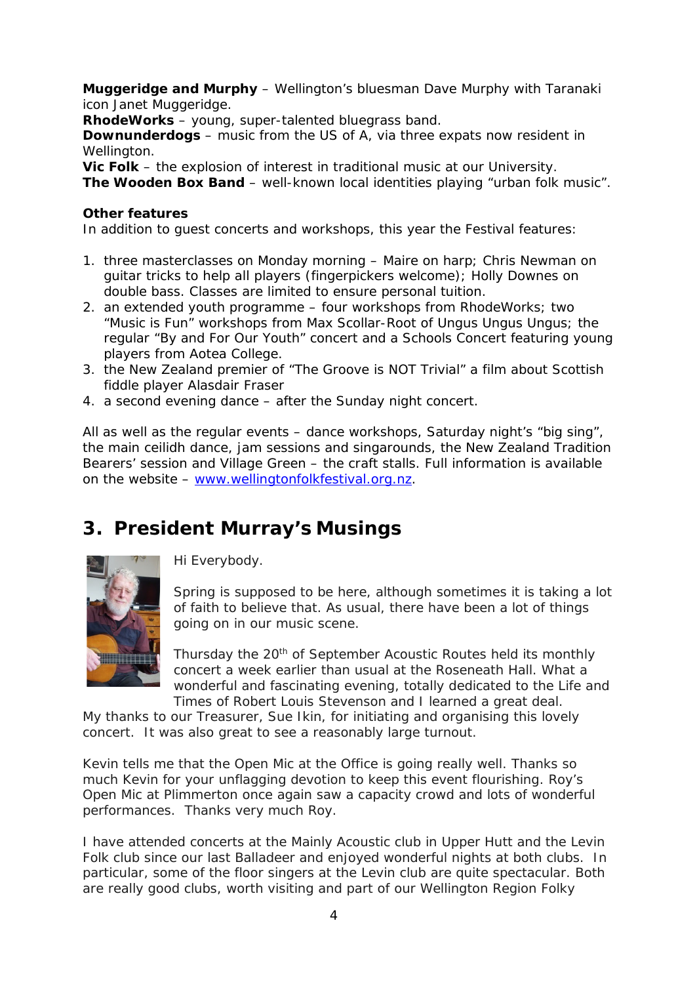**Muggeridge and Murphy** – Wellington's bluesman Dave Murphy with Taranaki icon Janet Muggeridge.

**RhodeWorks** – young, super-talented bluegrass band.

**Downunderdogs** – music from the US of A, via three expats now resident in Wellington.

**Vic Folk** – the explosion of interest in traditional music at our University. **The Wooden Box Band** – well-known local identities playing "urban folk music".

#### **Other features**

In addition to guest concerts and workshops, this year the Festival features:

- 1. three masterclasses on Monday morning Maire on harp; Chris Newman on guitar tricks to help all players (fingerpickers welcome); Holly Downes on double bass. Classes are limited to ensure personal tuition.
- 2. an extended youth programme four workshops from RhodeWorks; two "Music is Fun" workshops from Max Scollar-Root of Ungus Ungus Ungus; the regular "By and For Our Youth" concert and a Schools Concert featuring young players from Aotea College.
- 3. the New Zealand premier of "The Groove is NOT Trivial" a film about Scottish fiddle player Alasdair Fraser
- 4. a second evening dance after the Sunday night concert.

All as well as the regular events – dance workshops, Saturday night's "big sing", the main ceilidh dance, jam sessions and singarounds, the New Zealand Tradition Bearers' session and Village Green – the craft stalls. Full information is available on the website - [www.wellingtonfolkfestival.org.nz.](http://www.wellingtonfolkfestival.org.nz/)

# **3. President Murray's Musings**



Hi Everybody.

Spring is supposed to be here, although sometimes it is taking a lot of faith to believe that. As usual, there have been a lot of things going on in our music scene.

Thursday the 20<sup>th</sup> of September Acoustic Routes held its monthly concert a week earlier than usual at the Roseneath Hall. What a wonderful and fascinating evening, totally dedicated to the Life and Times of Robert Louis Stevenson and I learned a great deal.

My thanks to our Treasurer, Sue Ikin, for initiating and organising this lovely concert. It was also great to see a reasonably large turnout.

Kevin tells me that the Open Mic at the Office is going really well. Thanks so much Kevin for your unflagging devotion to keep this event flourishing. Roy's Open Mic at Plimmerton once again saw a capacity crowd and lots of wonderful performances. Thanks very much Roy.

I have attended concerts at the Mainly Acoustic club in Upper Hutt and the Levin Folk club since our last Balladeer and enjoyed wonderful nights at both clubs. In particular, some of the floor singers at the Levin club are quite spectacular. Both are really good clubs, worth visiting and part of our Wellington Region Folky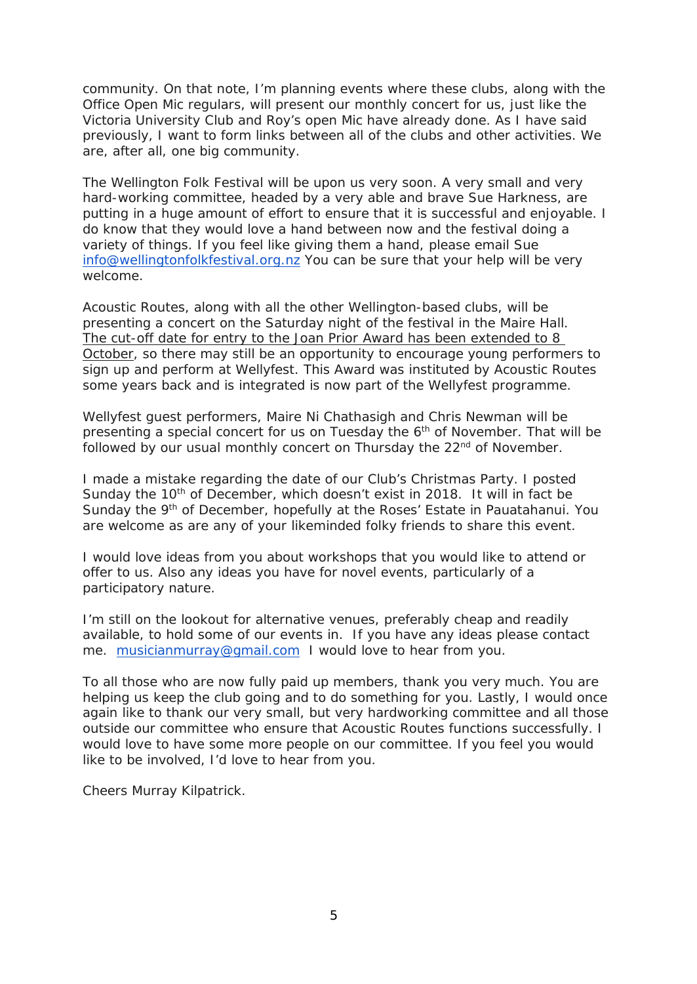community. On that note, I'm planning events where these clubs, along with the Office Open Mic regulars, will present our monthly concert for us, just like the Victoria University Club and Roy's open Mic have already done. As I have said previously, I want to form links between all of the clubs and other activities. We are, after all, one big community.

The Wellington Folk Festival will be upon us very soon. A very small and very hard-working committee, headed by a very able and brave Sue Harkness, are putting in a huge amount of effort to ensure that it is successful and enjoyable. I do know that they would love a hand between now and the festival doing a variety of things. If you feel like giving them a hand, please email Sue [info@wellingtonfolkfestival.org.nz](mailto:info@wellingtonfolkfestival.org.nz) You can be sure that your help will be very welcome.

Acoustic Routes, along with all the other Wellington-based clubs, will be presenting a concert on the Saturday night of the festival in the Maire Hall. The cut-off date for entry to the Joan Prior Award has been extended to 8 October, so there may still be an opportunity to encourage young performers to sign up and perform at Wellyfest. This Award was instituted by Acoustic Routes some years back and is integrated is now part of the Wellyfest programme.

Wellyfest guest performers, Maire Ni Chathasigh and Chris Newman will be presenting a special concert for us on Tuesday the 6<sup>th</sup> of November. That will be followed by our usual monthly concert on Thursday the 22<sup>nd</sup> of November.

I made a mistake regarding the date of our Club's Christmas Party. I posted Sunday the  $10<sup>th</sup>$  of December, which doesn't exist in 2018. It will in fact be Sunday the 9<sup>th</sup> of December, hopefully at the Roses' Estate in Pauatahanui. You are welcome as are any of your likeminded folky friends to share this event.

I would love ideas from you about workshops that you would like to attend or offer to us. Also any ideas you have for novel events, particularly of a participatory nature.

I'm still on the lookout for alternative venues, preferably cheap and readily available, to hold some of our events in. If you have any ideas please contact me. [musicianmurray@gmail.com](mailto:musicianmurray@gmail.com) I would love to hear from you.

To all those who are now fully paid up members, thank you very much. You are helping us keep the club going and to do something for you. Lastly, I would once again like to thank our very small, but very hardworking committee and all those outside our committee who ensure that Acoustic Routes functions successfully. I would love to have some more people on our committee. If you feel you would like to be involved, I'd love to hear from you.

Cheers Murray Kilpatrick.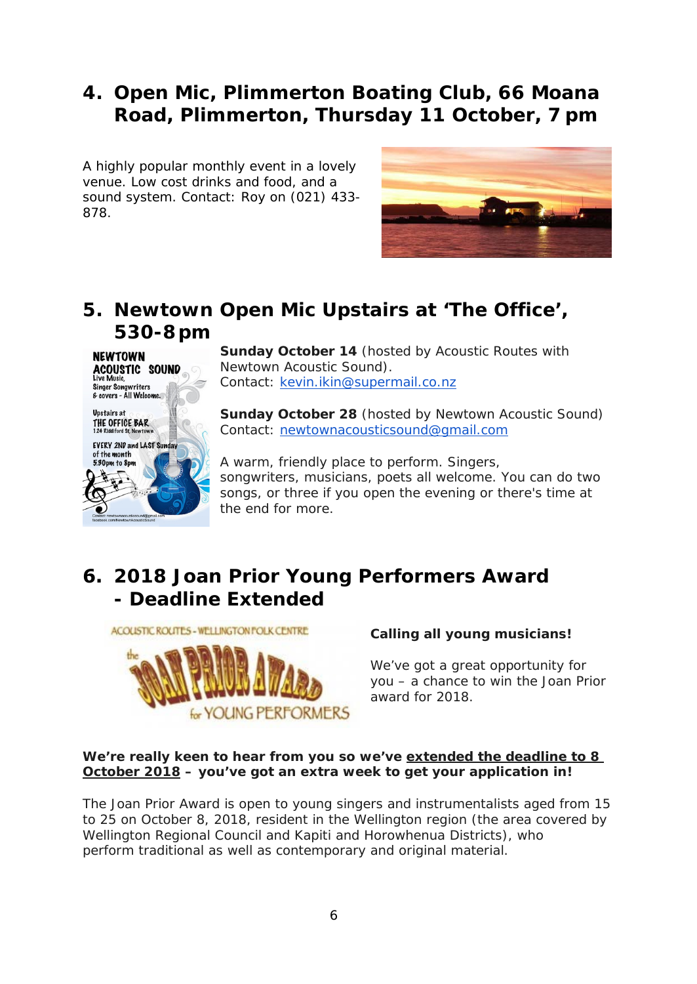# **4. Open Mic, Plimmerton Boating Club, 66 Moana Road, Plimmerton, Thursday 11 October, 7 pm**

A highly popular monthly event in a lovely venue. Low cost drinks and food, and a sound system. Contact: Roy on (021) 433- 878.



# **5. Newtown Open Mic Upstairs at 'The Office', 530-8 pm**



**Sunday October 14** (hosted by Acoustic Routes with Newtown Acoustic Sound). Contact: [kevin.ikin@supermail.co.nz](mailto:kevin.ikin@supermail.co.nz)

**Sunday October 28** (hosted by Newtown Acoustic Sound) Contact: [newtownacousticsound@gmail.com](mailto:newtownacousticsound@gmail.com)

A warm, friendly place to perform. Singers, songwriters, musicians, poets all welcome. You can do two songs, or three if you open the evening or there's time at the end for more.

# **6. 2018 Joan Prior Young Performers Award - Deadline Extended**



#### *Calling all young musicians!*

We've got a great opportunity for you – a chance to win the Joan Prior award for 2018.

#### *We're really keen to hear from you so we've extended the deadline to 8 October 2018 – you've got an extra week to get your application in!*

The Joan Prior Award is open to young singers and instrumentalists aged from 15 to 25 on October 8, 2018, resident in the Wellington region (the area covered by Wellington Regional Council and Kapiti and Horowhenua Districts), who perform traditional as well as contemporary and original material.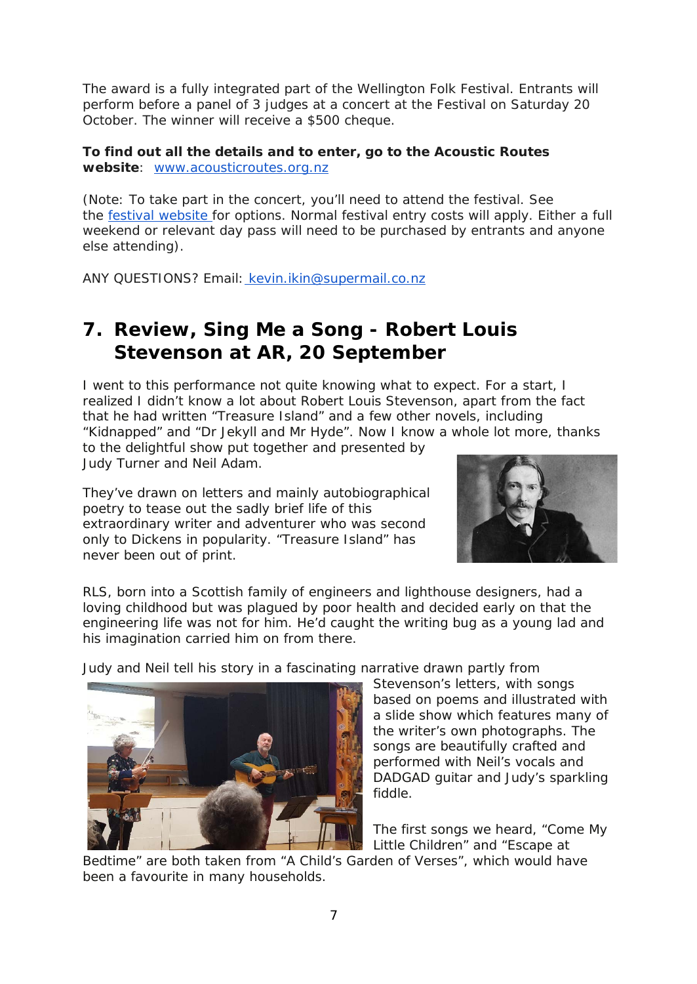The award is a fully integrated part of the Wellington Folk Festival. Entrants will perform before a panel of 3 judges at a concert at the Festival on Saturday 20 October. The winner will receive a \$500 cheque.

**To find out all the details and to enter, go to the Acoustic Routes website**: [www.acousticroutes.org.nz](http://www.acousticroutes.org.nz/)

(Note: To take part in the concert, you'll need to attend the festival. See the [festival website](http://www.wellingtonfolkfestival.org.nz/) for options. Normal festival entry costs will apply. Either a full weekend or relevant day pass will need to be purchased by entrants and anyone else attending).

ANY QUESTIONS? Email: [kevin.ikin@supermail.co.nz](mailto:kevin.ikin@supermail.co.nz)

## **7. Review, Sing Me a Song - Robert Louis Stevenson at AR, 20 September**

I went to this performance not quite knowing what to expect. For a start, I realized I didn't know a lot about Robert Louis Stevenson, apart from the fact that he had written "Treasure Island" and a few other novels, including "Kidnapped" and "Dr Jekyll and Mr Hyde". Now I know a whole lot more, thanks

to the delightful show put together and presented by Judy Turner and Neil Adam.

They've drawn on letters and mainly autobiographical poetry to tease out the sadly brief life of this extraordinary writer and adventurer who was second only to Dickens in popularity. "Treasure Island" has never been out of print.



RLS, born into a Scottish family of engineers and lighthouse designers, had a loving childhood but was plagued by poor health and decided early on that the engineering life was not for him. He'd caught the writing bug as a young lad and his imagination carried him on from there.

Judy and Neil tell his story in a fascinating narrative drawn partly from



Stevenson's letters, with songs based on poems and illustrated with a slide show which features many of the writer's own photographs. The songs are beautifully crafted and performed with Neil's vocals and DADGAD guitar and Judy's sparkling fiddle.

The first songs we heard, "Come My Little Children" and "Escape at

Bedtime" are both taken from "A Child's Garden of Verses", which would have been a favourite in many households.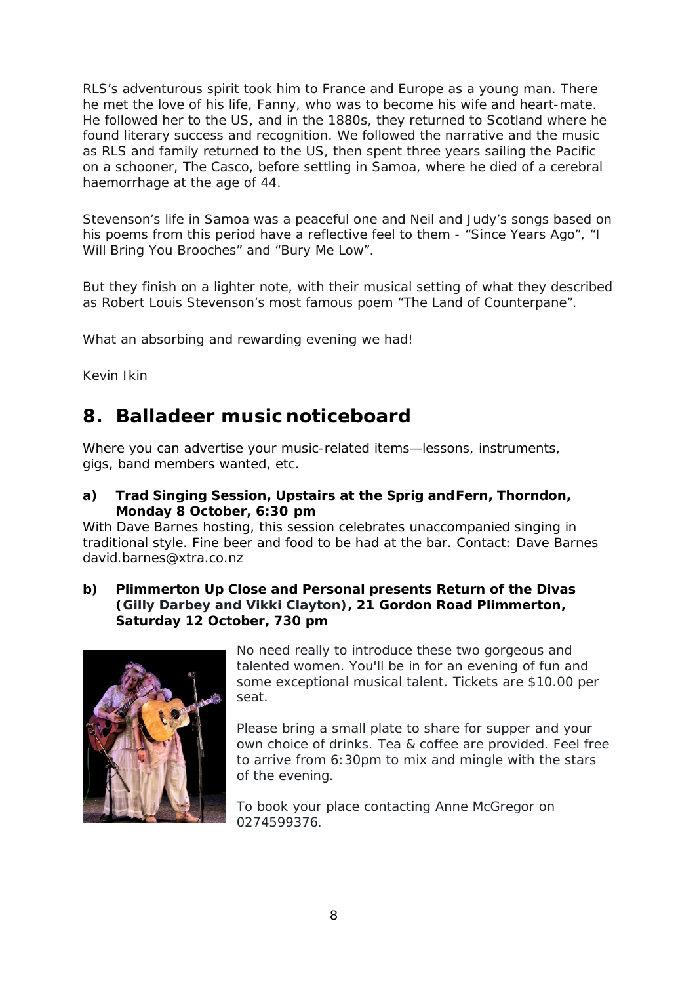RLS's adventurous spirit took him to France and Europe as a young man. There he met the love of his life, Fanny, who was to become his wife and heart-mate. He followed her to the US, and in the 1880s, they returned to Scotland where he found literary success and recognition. We followed the narrative and the music as RLS and family returned to the US, then spent three years sailing the Pacific on a schooner, The Casco, before settling in Samoa, where he died of a cerebral haemorrhage at the age of 44.

Stevenson's life in Samoa was a peaceful one and Neil and Judy's songs based on his poems from this period have a reflective feel to them - "Since Years Ago", "I Will Bring You Brooches" and "Bury Me Low".

But they finish on a lighter note, with their musical setting of what they described as Robert Louis Stevenson's most famous poem "The Land of Counterpane".

What an absorbing and rewarding evening we had!

Kevin Ikin

### **8. Balladeer music noticeboard**

Where you can advertise your music-related items—lessons, instruments, gigs, band members wanted, etc.

**a) Trad Singing Session, Upstairs at the Sprig andFern, Thorndon, Monday 8 October, 6:30 pm**

With Dave Barnes hosting, this session celebrates unaccompanied singing in traditional style. Fine beer and food to be had at the bar. Contact: Dave Barnes [david.barnes@xtra.co.nz](mailto:david.barnes@xtra.co.nz)

**b) Plimmerton Up Close and Personal presents Return of the Divas (Gilly Darbey and Vikki Clayton), 21 Gordon Road Plimmerton, Saturday 12 October, 730 pm**



No need really to introduce these two gorgeous and talented women. You'll be in for an evening of fun and some exceptional musical talent. Tickets are \$10.00 per seat.

Please bring a small plate to share for supper and your own choice of drinks. Tea & coffee are provided. Feel free to arrive from 6:30pm to mix and mingle with the stars of the evening.

To book your place contacting Anne McGregor on 0274599376.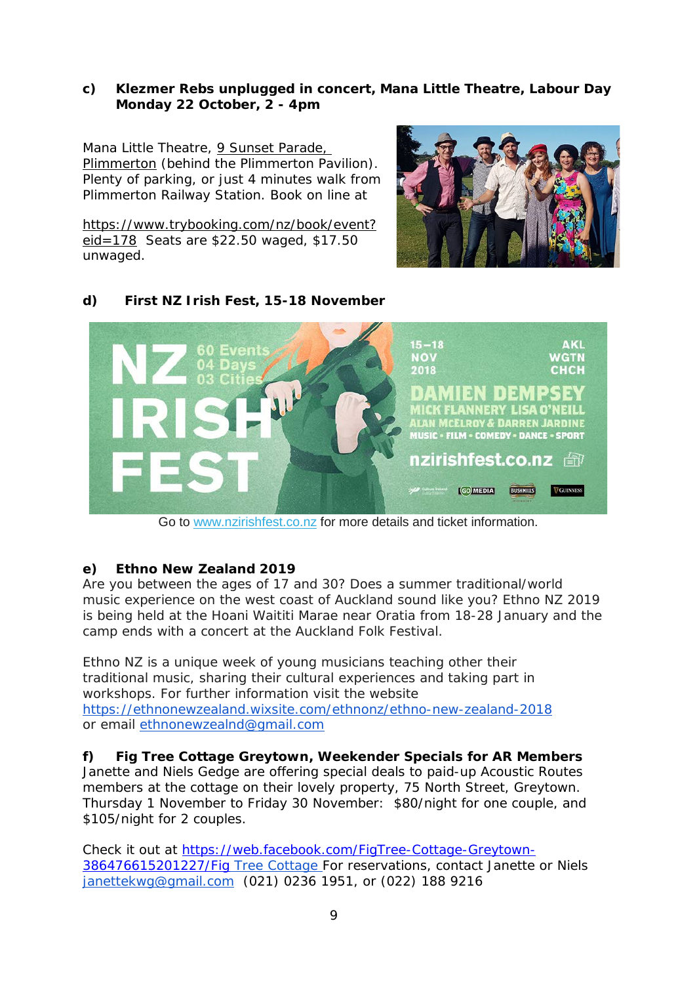#### **c) Klezmer Rebs unplugged in concert, Mana Little Theatre, Labour Day Monday 22 October, 2 - 4pm**

Mana Little Theatre, 9 Sunset Parade, [Plimmerton](https://maps.google.com/?q=9+Sunset+Parade,+Plimmerton,+Porirua&entry=gmail&source=g) (behind the Plimmerton Pavilion). Plenty of parking, or just 4 minutes walk from Plimmerton Railway Station. Book on line at

[https://www.trybooking.com/nz/book/event?](https://www.trybooking.com/nz/book/event?eid=178) [eid=178](https://www.trybooking.com/nz/book/event?eid=178) Seats are \$22.50 waged, \$17.50 unwaged.



#### **d) First NZ Irish Fest, 15-18 November**  $15 - 18$ **AKL** 60 Events **NOV NGTN** 2018 снсн  $\mathbf{H}$ MICK FLANNERY LISA O'NEILL LAN MCELROY & DARREN JARDINE **MUSIC • FILM • COMEDY • DANCE • SPORT nzirishfest.co.nz** *管* **GOMEDIA** BUSHMILLS **VGUINNESS**

Go to [www.nzirishfest.co.nz](http://www.nzirishfest.co.nz/) for more details and ticket information.

#### **e) Ethno New Zealand 2019**

Are you between the ages of 17 and 30? Does a summer traditional/world music experience on the west coast of Auckland sound like you? Ethno NZ 2019 is being held at the Hoani Waititi Marae near Oratia from 18-28 January and the camp ends with a concert at the Auckland Folk Festival.

Ethno NZ is a unique week of young musicians teaching other their traditional music, sharing their cultural experiences and taking part in workshops. For further information visit the website <https://ethnonewzealand.wixsite.com/ethnonz/ethno-new-zealand-2018> or email [ethnonewzealnd@gmail.com](mailto:ethnonewzealnd@gmail.com)

**f) Fig Tree Cottage Greytown, Weekender Specials for AR Members** Janette and Niels Gedge are offering special deals to paid-up Acoustic Routes members at the cottage on their lovely property, 75 North Street, Greytown. Thursday 1 November to Friday 30 November: \$80/night for one couple, and \$105/night for 2 couples.

Check it out at [https://web.facebook.com/FigTree-Cottage-Greytown-](https://web.facebook.com/FigTree-Cottage-Greytown-386476615201227/Fig)[386476615201227/Fig](https://web.facebook.com/FigTree-Cottage-Greytown-386476615201227/Fig) Tree Cottage For reservations, contact Janette or Niels [janettekwg@gmail.com](mailto:janettekwg@gmail.com) (021) 0236 1951, or (022) 188 9216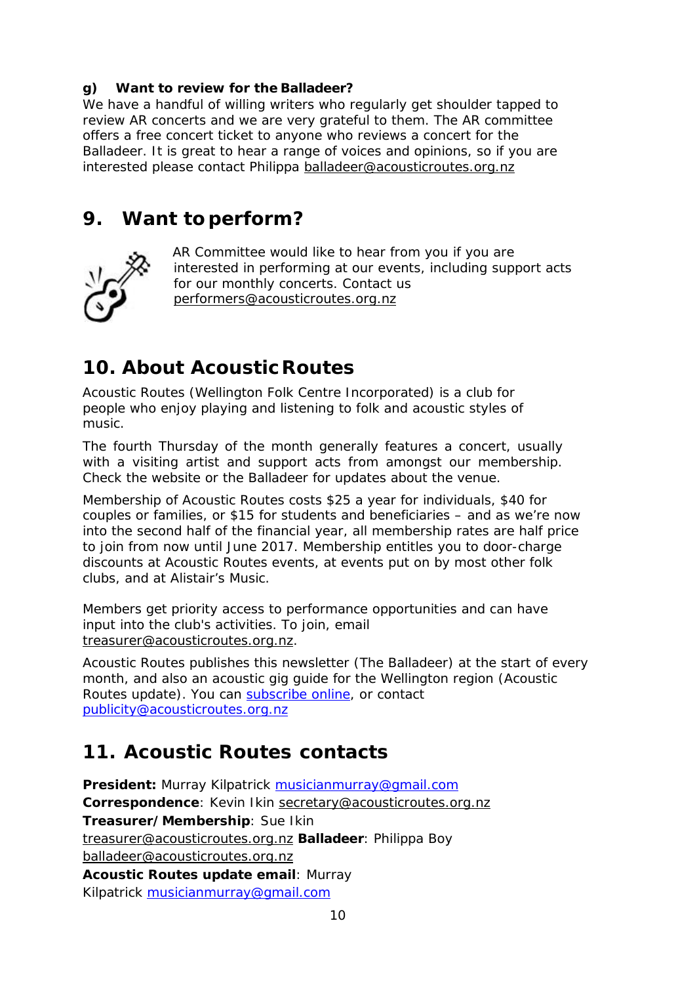#### **g) Want to review for the Balladeer?**

We have a handful of willing writers who regularly get shoulder tapped to review AR concerts and we are very grateful to them. The AR committee offers a free concert ticket to anyone who reviews a concert for the Balladeer. It is great to hear a range of voices and opinions, so if you are interested please contact Philippa [balladeer@acousticroutes.org.nz](mailto:balladeer@acousticroutes.org.nz)

#### **9. Want toperform?**



AR Committee would like to hear from you if you are interested in performing at our events, including support acts for our monthly concerts. Contact us [performers@acousticroutes.org.nz](mailto:performers@acousticroutes.org.nz)

# **10. About AcousticRoutes**

Acoustic Routes (Wellington Folk Centre Incorporated) is a club for people who enjoy playing and listening to folk and acoustic styles of music.

The fourth Thursday of the month generally features a concert, usually with a visiting artist and support acts from amongst our membership. Check the website or the Balladeer for updates about the venue.

Membership of Acoustic Routes costs \$25 a year for individuals, \$40 for couples or families, or \$15 for students and beneficiaries – and as we're now into the second half of the financial year, all membership rates are half price to join from now until June 2017. Membership entitles you to door-charge discounts at Acoustic Routes events, at events put on by most other folk clubs, and at Alistair's Music.

Members get priority access to performance opportunities and can have input into the club's activities. To join, email [treasurer@acousticroutes.org.nz.](mailto:treasurer@acousticroutes.org.nz)

Acoustic Routes publishes this newsletter (The Balladeer) at the start of every month, and also an acoustic gig guide for the Wellington region (Acoustic Routes update). You can [subscribe online,](http://eepurl.com/mP90b) or contact [publicity@acousticroutes.org.nz](mailto:publicity@acousticroutes.org.nz)

### **11. Acoustic Routes contacts**

**President:** Murray Kilpatrick [musicianmurray@gmail.com](mailto:musicianmurray@gmail.com)  **Correspondence**: Kevin Ikin [secretary@acousticroutes.org.nz](mailto:secretary@acousticroutes.org.nz) **Treasurer/Membership**: Sue Ikin [treasurer@acousticroutes.org.nz](mailto:treasurer@acousticroutes.org.nz) **Balladeer**: Philippa Boy [balladeer@acousticroutes.org.nz](mailto:balladeer@acousticroutes.org.nz) **Acoustic Routes update email**: Murray Kilpatrick [musicianmurray@gmail.com](mailto:musicianmurray@gmail.com)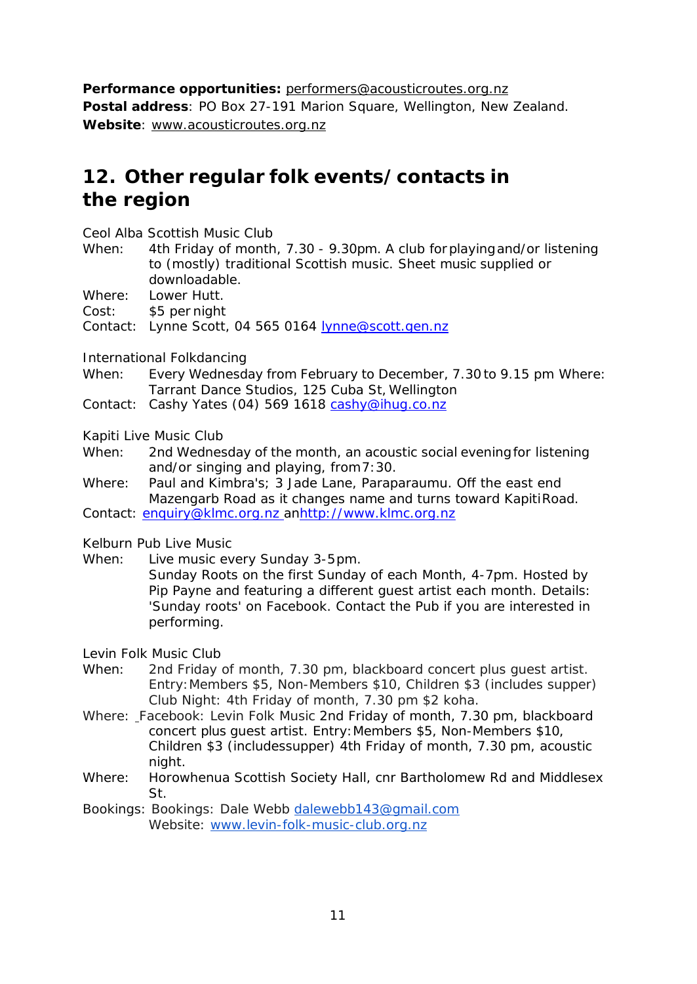**Performance opportunities:** [performers@acousticroutes.org.nz](mailto:performers@acousticroutes.org.nz) **Postal address**: PO Box 27-191 Marion Square, Wellington, New Zealand. **Website**: [www.acousticroutes.org.nz](http://www.acousticroutes.org.nz/)

# **12. Other regular folk events/contacts in the region**

Ceol Alba Scottish Music Club

- When: 4th Friday of month, 7.30 9.30pm. A club forplayingand/or listening to (mostly) traditional Scottish music. Sheet music supplied or downloadable.
- Where: Lower Hutt.
- Cost: \$5 per night
- Contact: Lynne Scott, 04 565 0164 [lynne@scott.gen.nz](mailto:lynne@scott.gen.nz)

International Folkdancing

- When: Every Wednesday from February to December, 7.30to 9.15 pm Where: Tarrant Dance Studios, 125 Cuba St, Wellington
- Contact: Cashy Yates (04) 569 1618 [cashy@ihug.co.nz](mailto:cashy@ihug.co.nz)

Kapiti Live Music Club

- When: 2nd Wednesday of the month, an acoustic social evening for listening and/or singing and playing, from7:30.
- Where: Paul and Kimbra's; 3 Jade Lane, Paraparaumu. Off the east end Mazengarb Road as it changes name and turns toward KapitiRoad.
- Contact: [enquiry@klmc.org.nz a](mailto:enquiry@klmc.org.nz)[nhttp://www.klmc.org.nz](http://www.klmc.org.nz/)

Kelburn Pub Live Music

- When: Live music every Sunday 3-5pm.
	- Sunday Roots on the first Sunday of each Month, 4-7pm. Hosted by Pip Payne and featuring a different guest artist each month. Details: 'Sunday roots' on Facebook. Contact the Pub if you are interested in performing.

Levin Folk Music Club

- When: 2nd Friday of month, 7.30 pm, blackboard concert plus guest artist. Entry:Members \$5, Non-Members \$10, Children \$3 (includes supper) Club Night: 4th Friday of month, 7.30 pm \$2 koha.
- Where: Facebook: Levin Folk Music 2nd Friday of month, 7.30 pm, blackboard concert plus guest artist. Entry:Members \$5, Non-Members \$10, Children \$3 (includessupper) 4th Friday of month, 7.30 pm, acoustic night.
- Where: Horowhenua Scottish Society Hall, cnr Bartholomew Rd and Middlesex St.
- Bookings: Bookings: Dale Webb [dalewebb143@gmail.com](mailto:dalewebb143@gmail.com) Website: [www.levin-folk-music-club.org.nz](http://www.levin-folk-music-club.org.nz/)